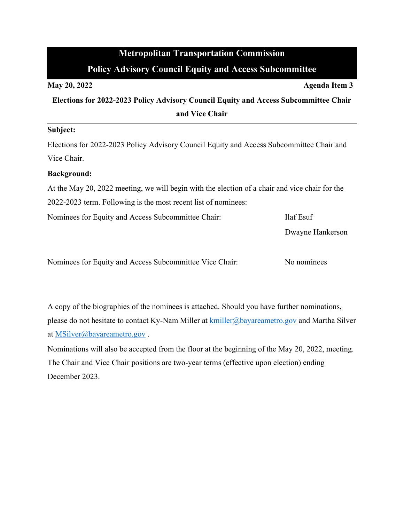# **Metropolitan Transportation Commission Policy Advisory Council Equity and Access Subcommittee**

**May 20, 2022 Agenda Item 3 Elections for 2022-2023 Policy Advisory Council Equity and Access Subcommittee Chair and Vice Chair**

### **Subject:**

Elections for 2022-2023 Policy Advisory Council Equity and Access Subcommittee Chair and Vice Chair.

#### **Background:**

At the May 20, 2022 meeting, we will begin with the election of a chair and vice chair for the 2022-2023 term. Following is the most recent list of nominees:

Nominees for Equity and Access Subcommittee Chair: Ilaf Esuf

Dwayne Hankerson

Nominees for Equity and Access Subcommittee Vice Chair: No nominees

A copy of the biographies of the nominees is attached. Should you have further nominations, please do not hesitate to contact Ky-Nam Miller at **[kmiller@bayareametro.gov](mailto:kmiller@bayareametro.gov)** and Martha Silver at [MSilver@bayareametro.gov](mailto:MSilver@bayareametro.gov) .

Nominations will also be accepted from the floor at the beginning of the May 20, 2022, meeting. The Chair and Vice Chair positions are two-year terms (effective upon election) ending December 2023.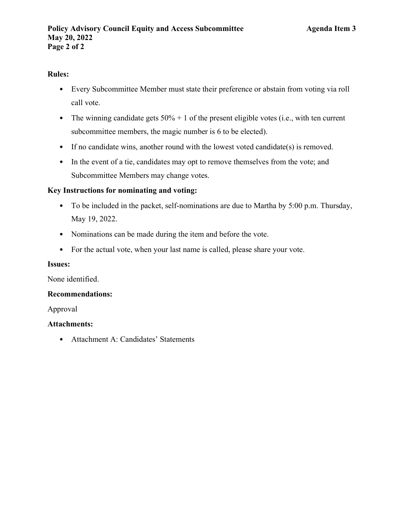# **Rules:**

- Every Subcommittee Member must state their preference or abstain from voting via roll call vote.
- The winning candidate gets  $50\% + 1$  of the present eligible votes (i.e., with ten current subcommittee members, the magic number is 6 to be elected).
- If no candidate wins, another round with the lowest voted candidate(s) is removed.
- In the event of a tie, candidates may opt to remove themselves from the vote; and Subcommittee Members may change votes.

# **Key Instructions for nominating and voting:**

- To be included in the packet, self-nominations are due to Martha by 5:00 p.m. Thursday, May 19, 2022.
- Nominations can be made during the item and before the vote.
- For the actual vote, when your last name is called, please share your vote.

### **Issues:**

None identified.

#### **Recommendations:**

Approval

# **Attachments:**

• Attachment A: Candidates' Statements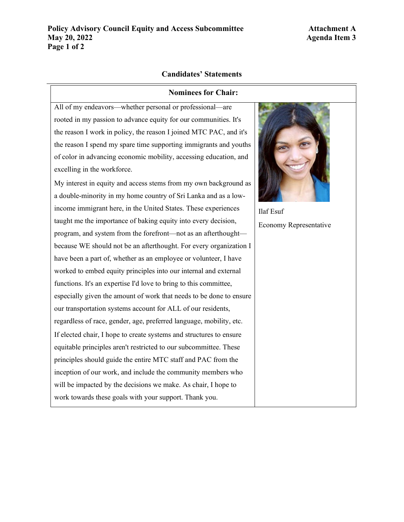# **Candidates' Statements**

#### **Nominees for Chair:**

All of my endeavors—whether personal or professional—are rooted in my passion to advance equity for our communities. It's the reason I work in policy, the reason I joined MTC PAC, and it's the reason I spend my spare time supporting immigrants and youths of color in advancing economic mobility, accessing education, and excelling in the workforce.

My interest in equity and access stems from my own background as a double-minority in my home country of Sri Lanka and as a lowincome immigrant here, in the United States. These experiences taught me the importance of baking equity into every decision, program, and system from the forefront—not as an afterthought because WE should not be an afterthought. For every organization I have been a part of, whether as an employee or volunteer, I have worked to embed equity principles into our internal and external functions. It's an expertise I'd love to bring to this committee, especially given the amount of work that needs to be done to ensure our transportation systems account for ALL of our residents, regardless of race, gender, age, preferred language, mobility, etc. If elected chair, I hope to create systems and structures to ensure equitable principles aren't restricted to our subcommittee. These principles should guide the entire MTC staff and PAC from the inception of our work, and include the community members who will be impacted by the decisions we make. As chair, I hope to work towards these goals with your support. Thank you.



Ilaf Esuf Economy Representative